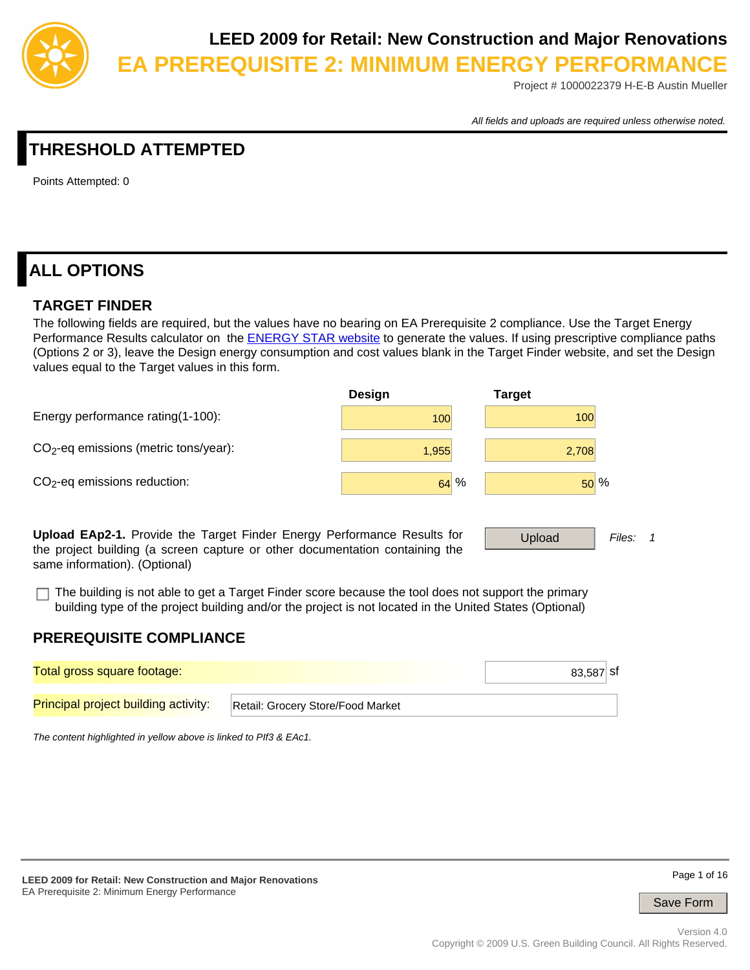

Project # 1000022379 H-E-B Austin Mueller

*All fields and uploads are required unless otherwise noted.*

# **THRESHOLD ATTEMPTED**

Points Attempted: 0

# **ALL OPTIONS**

### **TARGET FINDER**

The following fields are required, but the values have no bearing on EA Prerequisite 2 compliance. Use the Target Energy Performance Results calculator on the **ENERGY STAR website to generate the values**. If using prescriptive compliance paths (Options 2 or 3), leave the Design energy consumption and cost values blank in the Target Finder website, and set the Design values equal to the Target values in this form.



**Upload EAp2-1.** Provide the Target Finder Energy Performance Results for the project building (a screen capture or other documentation containing the same information). (Optional)

Upload *Files: 1*

The building is not able to get a Target Finder score because the tool does not support the primary building type of the project building and/or the project is not located in the United States (Optional)

### **PREREQUISITE COMPLIANCE**

| Total gross square footage:                 |                                   | $83,587$ sf |
|---------------------------------------------|-----------------------------------|-------------|
| <b>Principal project building activity:</b> | Retail: Grocery Store/Food Market |             |

*The content highlighted in yellow above is linked to PIf3 & EAc1.*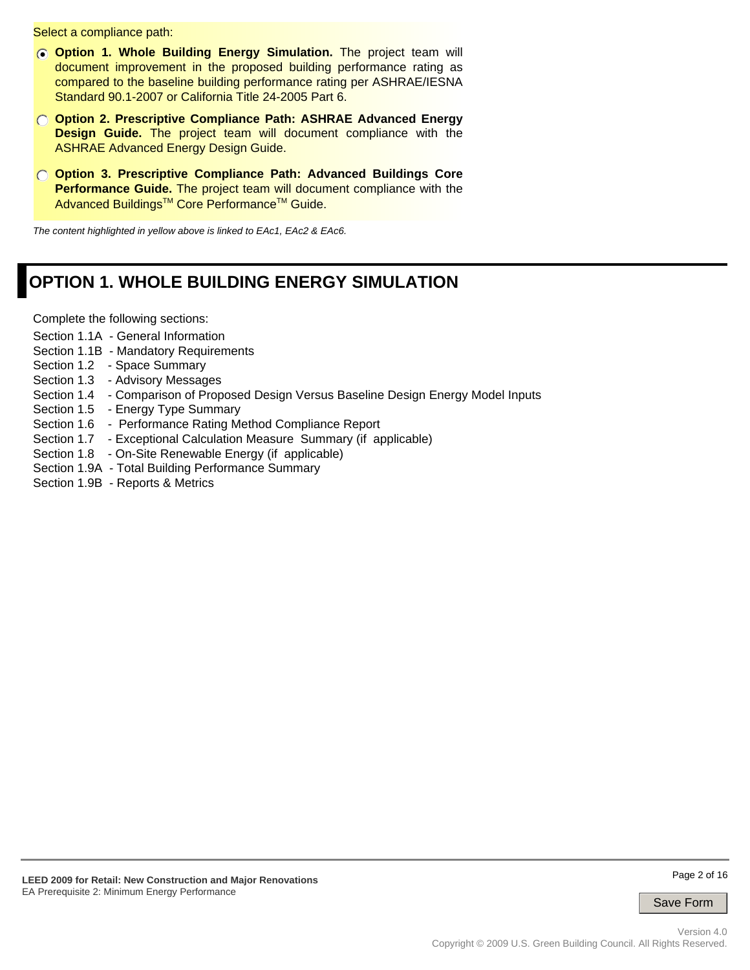Select a compliance path:

- **C** Option 1. Whole Building Energy Simulation. The project team will document improvement in the proposed building performance rating as compared to the baseline building performance rating per ASHRAE/IESNA Standard 90.1-2007 or California Title 24-2005 Part 6.
- **Option 2. Prescriptive Compliance Path: ASHRAE Advanced Energy Design Guide.** The project team will document compliance with the ASHRAE Advanced Energy Design Guide.
- **Option 3. Prescriptive Compliance Path: Advanced Buildings Core Performance Guide.** The project team will document compliance with the Advanced Buildings<sup>™</sup> Core Performance<sup>™</sup> Guide.

*The content highlighted in yellow above is linked to EAc1, EAc2 & EAc6.*

# **OPTION 1. WHOLE BUILDING ENERGY SIMULATION**

Complete the following sections:

- Section 1.1A General Information
- Section 1.1B Mandatory Requirements
- Section 1.2 Space Summary
- Section 1.3 Advisory Messages
- Section 1.4 Comparison of Proposed Design Versus Baseline Design Energy Model Inputs
- Section 1.5 Energy Type Summary
- Section 1.6 Performance Rating Method Compliance Report
- Section 1.7 Exceptional Calculation Measure Summary (if applicable)
- Section 1.8 On-Site Renewable Energy (if applicable)
- Section 1.9A Total Building Performance Summary
- Section 1.9B Reports & Metrics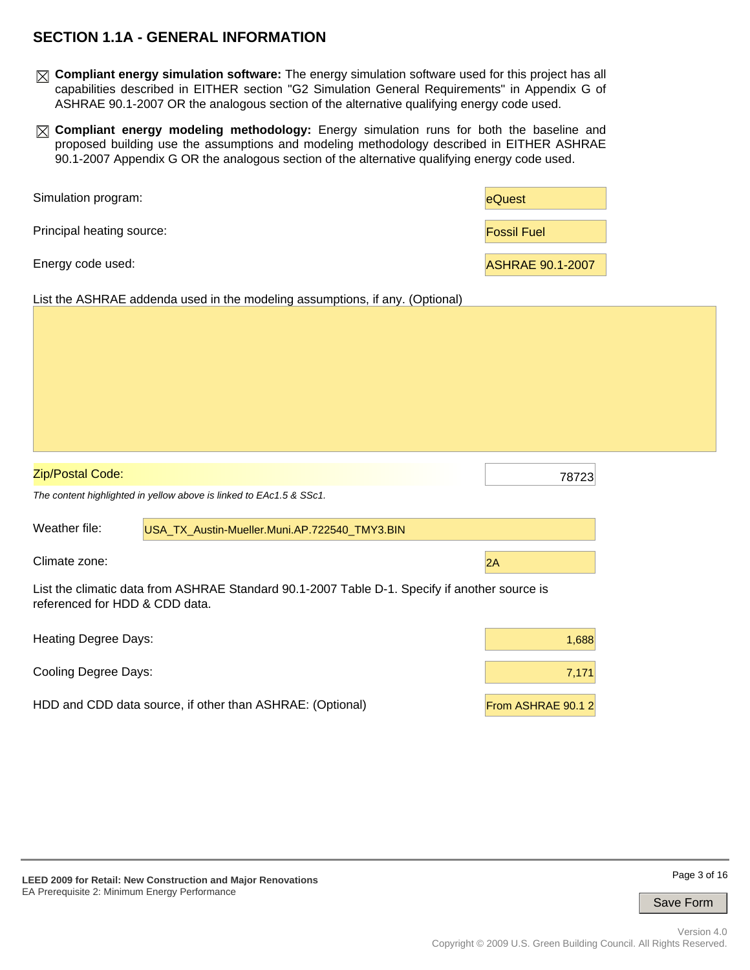## **SECTION 1.1A - GENERAL INFORMATION**

- **Compliant energy simulation software:** The energy simulation software used for this project has all capabilities described in EITHER section "G2 Simulation General Requirements" in Appendix G of ASHRAE 90.1-2007 OR the analogous section of the alternative qualifying energy code used.
- **Compliant energy modeling methodology:** Energy simulation runs for both the baseline and proposed building use the assumptions and modeling methodology described in EITHER ASHRAE 90.1-2007 Appendix G OR the analogous section of the alternative qualifying energy code used.

| Simulation program:       | eQuest                  |
|---------------------------|-------------------------|
| Principal heating source: | <b>Fossil Fuel</b>      |
| Energy code used:         | <b>ASHRAE 90.1-2007</b> |

List the ASHRAE addenda used in the modeling assumptions, if any. (Optional)

| <b>Zip/Postal Code:</b>        |                                                                                               | 78723             |  |  |  |  |  |
|--------------------------------|-----------------------------------------------------------------------------------------------|-------------------|--|--|--|--|--|
|                                | The content highlighted in yellow above is linked to EAc1.5 & SSc1.                           |                   |  |  |  |  |  |
| Weather file:                  | USA TX Austin-Mueller.Muni.AP.722540 TMY3.BIN                                                 |                   |  |  |  |  |  |
| Climate zone:                  | 2A                                                                                            |                   |  |  |  |  |  |
| referenced for HDD & CDD data. | List the climatic data from ASHRAE Standard 90.1-2007 Table D-1. Specify if another source is |                   |  |  |  |  |  |
| <b>Heating Degree Days:</b>    | 1,688                                                                                         |                   |  |  |  |  |  |
| <b>Cooling Degree Days:</b>    | 7,171                                                                                         |                   |  |  |  |  |  |
|                                | HDD and CDD data source, if other than ASHRAE: (Optional)                                     | From ASHRAE 90.12 |  |  |  |  |  |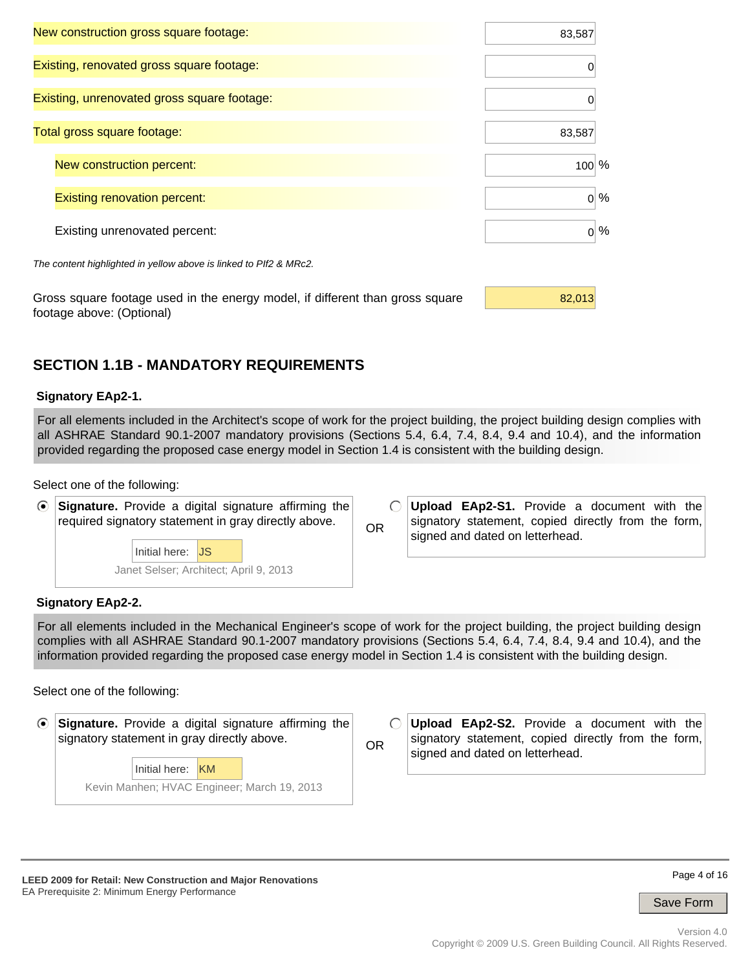| New construction gross square footage:                            | 83,587  |  |
|-------------------------------------------------------------------|---------|--|
| Existing, renovated gross square footage:                         | 0       |  |
| Existing, unrenovated gross square footage:                       | 0       |  |
| Total gross square footage:                                       | 83,587  |  |
| New construction percent:                                         | $100\%$ |  |
| <b>Existing renovation percent:</b>                               | $0\%$   |  |
| Existing unrenovated percent:                                     | $0\%$   |  |
| The content highlighted in yellow above is linked to PIf2 & MRc2. |         |  |
|                                                                   |         |  |

Gross square footage used in the energy model, if different than gross square  $\frac{82,013}{8}$ footage above: (Optional)

# **SECTION 1.1B - MANDATORY REQUIREMENTS**

### **Signatory EAp2-1.**

For all elements included in the Architect's scope of work for the project building, the project building design complies with all ASHRAE Standard 90.1-2007 mandatory provisions (Sections 5.4, 6.4, 7.4, 8.4, 9.4 and 10.4), and the information provided regarding the proposed case energy model in Section 1.4 is consistent with the building design.

#### Select one of the following:



Janet Selser; Architect; April 9, 2013

 $\bigcirc$ **Upload EAp2-S1.** Provide a document with the signatory statement, copied directly from the form, OR signed and dated on letterhead.

#### **Signatory EAp2-2.**

For all elements included in the Mechanical Engineer's scope of work for the project building, the project building design complies with all ASHRAE Standard 90.1-2007 mandatory provisions (Sections 5.4, 6.4, 7.4, 8.4, 9.4 and 10.4), and the information provided regarding the proposed case energy model in Section 1.4 is consistent with the building design.

Select one of the following:

| $\odot$ Signature. Provide a digital signature affirming the |                   |  |  |
|--------------------------------------------------------------|-------------------|--|--|
| signatory statement in gray directly above.                  |                   |  |  |
|                                                              |                   |  |  |
|                                                              | $Initialbar$ $KM$ |  |  |

Kevin Manhen; HVAC Engineer; March 19, 2013 Initial here: KM

**Upload EAp2-S2.** Provide a document with the  $\bigcap$ signatory statement, copied directly from the form, OR signed and dated on letterhead.

**LEED 2009 for Retail: New Construction and Major Renovations**  EA Prerequisite 2: Minimum Energy Performance

Page 4 of 16

Save Form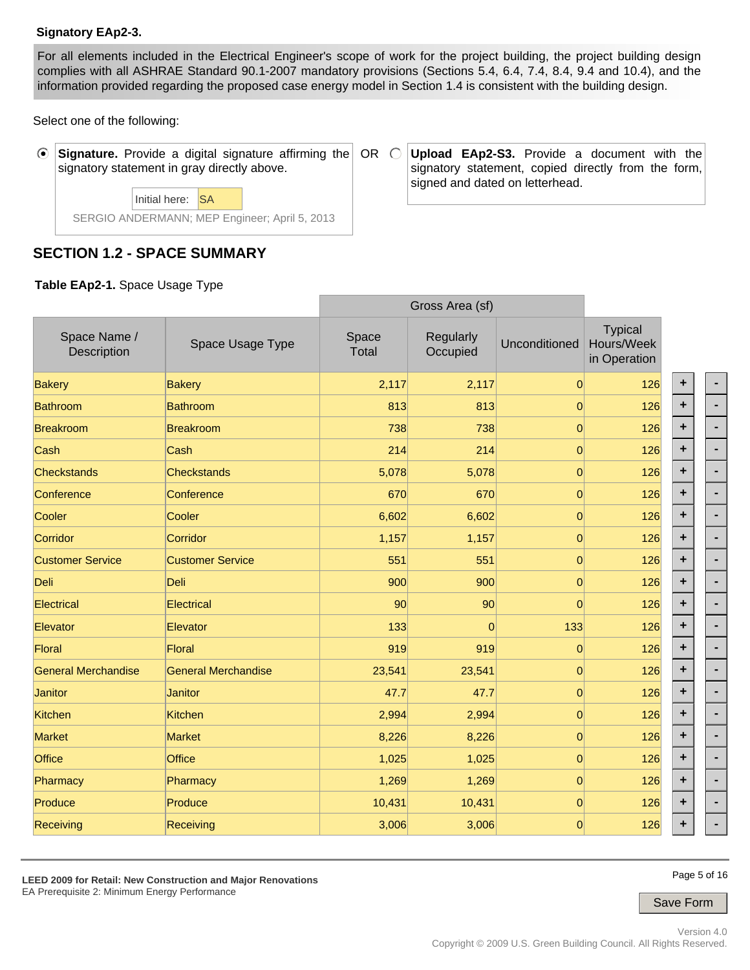### **Signatory EAp2-3.**

For all elements included in the Electrical Engineer's scope of work for the project building, the project building design complies with all ASHRAE Standard 90.1-2007 mandatory provisions (Sections 5.4, 6.4, 7.4, 8.4, 9.4 and 10.4), and the information provided regarding the proposed case energy model in Section 1.4 is consistent with the building design.

Select one of the following:

 $\odot$ **Signature.** Provide a digital signature affirming the OR signatory statement in gray directly above.

> SERGIO ANDERMANN; MEP Engineer; April 5, 2013 Initial here: SA

### **SECTION 1.2 - SPACE SUMMARY**

**Table EAp2-1.** Space Usage Type

|                             |                            |                       | Gross Area (si)       |                |                                              |           |  |
|-----------------------------|----------------------------|-----------------------|-----------------------|----------------|----------------------------------------------|-----------|--|
| Space Name /<br>Description | Space Usage Type           | Space<br><b>Total</b> | Regularly<br>Occupied | Unconditioned  | <b>Typical</b><br>Hours/Week<br>in Operation |           |  |
| <b>Bakery</b>               | <b>Bakery</b>              | 2,117                 | 2,117                 | $\overline{0}$ | 126                                          | ٠         |  |
| <b>Bathroom</b>             | <b>Bathroom</b>            | 813                   | 813                   | $\overline{0}$ | 126                                          | $\ddot{}$ |  |
| <b>Breakroom</b>            | <b>Breakroom</b>           | 738                   | 738                   | $\overline{0}$ | 126                                          | ٠         |  |
| Cash                        | Cash                       | 214                   | 214                   | $\overline{0}$ | 126                                          | ٠         |  |
| <b>Checkstands</b>          | <b>Checkstands</b>         | 5,078                 | 5,078                 | $\overline{0}$ | 126                                          | ÷         |  |
| Conference                  | Conference                 | 670                   | 670                   | $\overline{0}$ | 126                                          | ٠         |  |
| Cooler                      | Cooler                     | 6,602                 | 6,602                 | $\mathbf{0}$   | 126                                          | ÷         |  |
| Corridor                    | Corridor                   | 1,157                 | 1,157                 | $\mathbf{0}$   | 126                                          | ٠         |  |
| <b>Customer Service</b>     | <b>Customer Service</b>    | 551                   | 551                   | $\overline{0}$ | 126                                          | ٠         |  |
| Deli                        | <b>Deli</b>                | 900                   | 900                   | $\overline{0}$ | 126                                          | ٠         |  |
| Electrical                  | Electrical                 | 90                    | 90                    | $\Omega$       | 126                                          | ÷         |  |
| Elevator                    | Elevator                   | 133                   | $\Omega$              | 133            | 126                                          | ÷         |  |
| Floral                      | <b>Floral</b>              | 919                   | 919                   | $\Omega$       | 126                                          | ٠         |  |
| <b>General Merchandise</b>  | <b>General Merchandise</b> | 23,541                | 23,541                | $\mathbf{0}$   | 126                                          | ٠         |  |
| Janitor                     | <b>Janitor</b>             | 47.7                  | 47.7                  | $\mathbf{0}$   | 126                                          | ٠         |  |
| Kitchen                     | Kitchen                    | 2,994                 | 2,994                 | $\mathbf{0}$   | 126                                          | ٠         |  |
| <b>Market</b>               | <b>Market</b>              | 8,226                 | 8,226                 | $\overline{0}$ | 126                                          | ٠         |  |
| <b>Office</b>               | <b>Office</b>              | 1,025                 | 1,025                 | $\mathbf{0}$   | 126                                          | ٠         |  |
| Pharmacy                    | Pharmacy                   | 1,269                 | 1,269                 | $\overline{0}$ | 126                                          | ٠         |  |
| Produce                     | Produce                    | 10,431                | 10,431                | $\overline{0}$ | 126                                          | ٠         |  |
| Receiving                   | Receiving                  | 3,006                 | 3,006                 | $\overline{0}$ | 126                                          | ٠         |  |

Save Form

Page 5 of 16

**Upload EAp2-S3.** Provide a document with the signatory statement, copied directly from the form, signed and dated on letterhead.

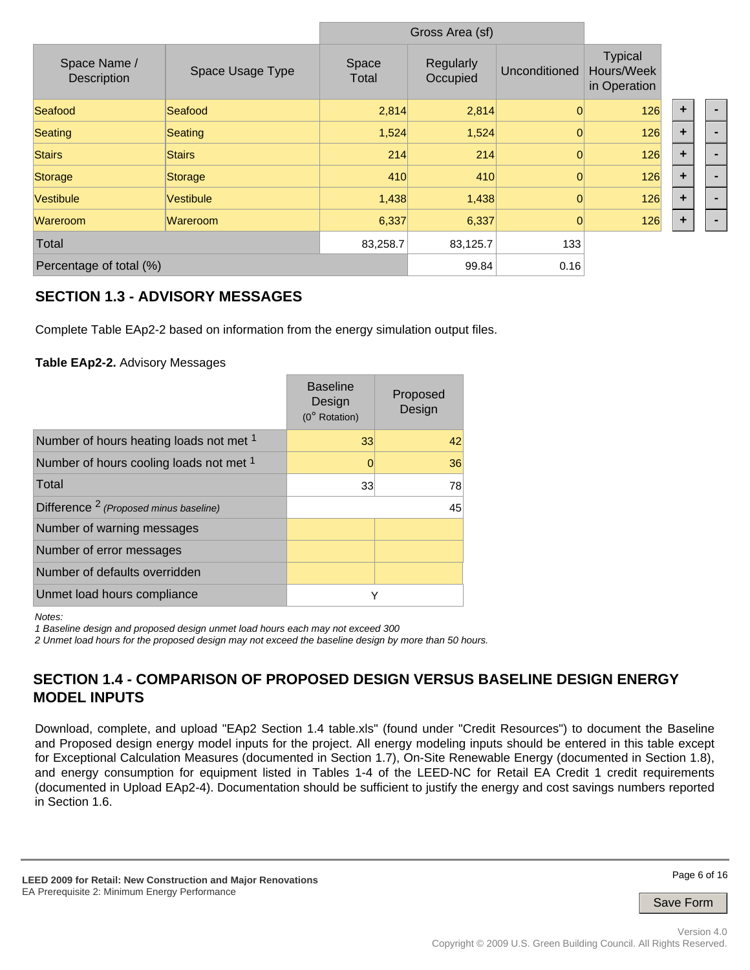|                             |                  |                | Gross Area (sf)       |                |                                              |                      |  |
|-----------------------------|------------------|----------------|-----------------------|----------------|----------------------------------------------|----------------------|--|
| Space Name /<br>Description | Space Usage Type | Space<br>Total | Regularly<br>Occupied | Unconditioned  | <b>Typical</b><br>Hours/Week<br>in Operation |                      |  |
| Seafood                     | Seafood          | 2,814          | 2,814                 | $\Omega$       | 126                                          | ٠                    |  |
| Seating                     | Seating          | 1,524          | 1,524                 | $\mathbf 0$    | 126                                          | $\ddot{\phantom{1}}$ |  |
| <b>Stairs</b>               | <b>Stairs</b>    | 214            | 214                   | $\overline{0}$ | 126                                          | $\ddot{\phantom{1}}$ |  |
| Storage                     | Storage          | 410            | 410                   | $\Omega$       | 126                                          | ÷                    |  |
| <b>Vestibule</b>            | <b>Vestibule</b> | 1,438          | 1,438                 | $\Omega$       | 126                                          | $\ddot{\phantom{1}}$ |  |
| Wareroom                    | Wareroom         | 6,337          | 6,337                 | $\Omega$       | 126                                          | ÷                    |  |
| Total                       |                  | 83,258.7       | 83,125.7              | 133            |                                              |                      |  |
| Percentage of total (%)     |                  |                | 99.84                 | 0.16           |                                              |                      |  |

### **SECTION 1.3 - ADVISORY MESSAGES**

Complete Table EAp2-2 based on information from the energy simulation output files.

### **Table EAp2-2.** Advisory Messages

|                                                   | <b>Baseline</b><br>Design<br>(0° Rotation) | Proposed<br>Design |
|---------------------------------------------------|--------------------------------------------|--------------------|
| Number of hours heating loads not met 1           | 33                                         | 42                 |
| Number of hours cooling loads not met 1           | 0                                          | 36                 |
| Total                                             | 33                                         | 78                 |
| Difference <sup>2</sup> (Proposed minus baseline) |                                            | 45                 |
| Number of warning messages                        |                                            |                    |
| Number of error messages                          |                                            |                    |
| Number of defaults overridden                     |                                            |                    |
| Unmet load hours compliance                       | Υ                                          |                    |

*Notes:* 

*1 Baseline design and proposed design unmet load hours each may not exceed 300* 

*2 Unmet load hours for the proposed design may not exceed the baseline design by more than 50 hours.*

### **SECTION 1.4 - COMPARISON OF PROPOSED DESIGN VERSUS BASELINE DESIGN ENERGY MODEL INPUTS**

Download, complete, and upload "EAp2 Section 1.4 table.xls" (found under "Credit Resources") to document the Baseline and Proposed design energy model inputs for the project. All energy modeling inputs should be entered in this table except for Exceptional Calculation Measures (documented in Section 1.7), On-Site Renewable Energy (documented in Section 1.8), and energy consumption for equipment listed in Tables 1-4 of the LEED-NC for Retail EA Credit 1 credit requirements (documented in Upload EAp2-4). Documentation should be sufficient to justify the energy and cost savings numbers reported in Section 1.6.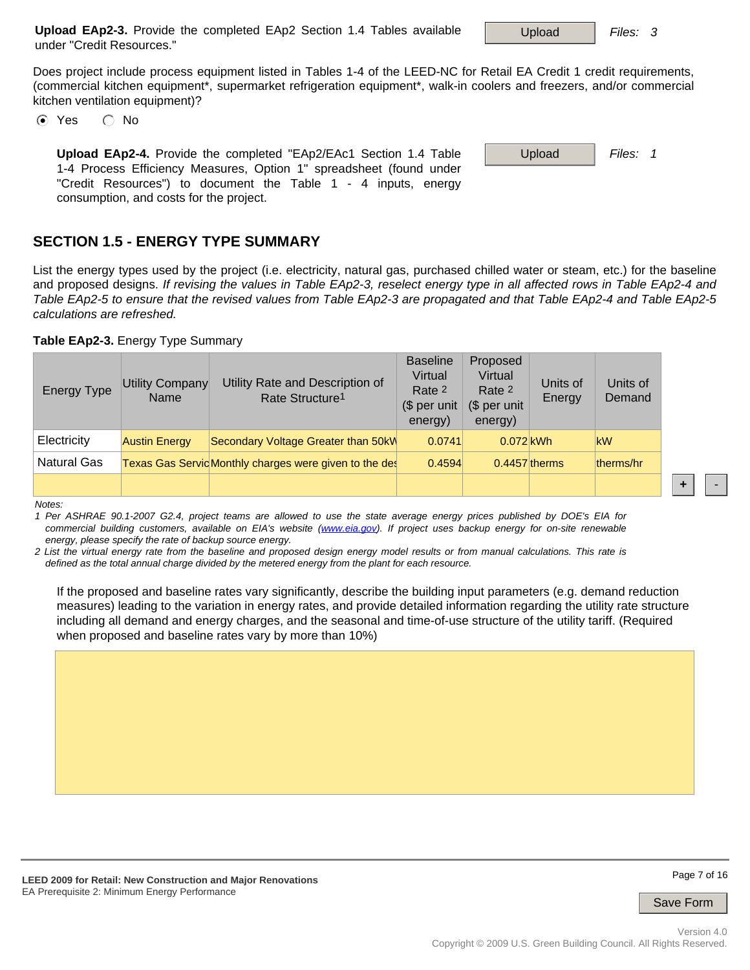Page 7 of 16

**+** -

Save Form

**Upload EAp2-3.** Provide the completed EAp2 Section 1.4 Tables available under "Credit Resources."

Does project include process equipment listed in Tables 1-4 of the LEED-NC for Retail EA Credit 1 credit requirements, (commercial kitchen equipment\*, supermarket refrigeration equipment\*, walk-in coolers and freezers, and/or commercial kitchen ventilation equipment)?

 $\odot$  Yes  $\odot$  No

**Upload EAp2-4.** Provide the completed "EAp2/EAc1 Section 1.4 Table **Upload** Files: 1 1-4 Process Efficiency Measures, Option 1" spreadsheet (found under "Credit Resources") to document the Table 1 - 4 inputs, energy consumption, and costs for the project.

## **SECTION 1.5 - ENERGY TYPE SUMMARY**

List the energy types used by the project (i.e. electricity, natural gas, purchased chilled water or steam, etc.) for the baseline and proposed designs. *If revising the values in Table EAp2-3, reselect energy type in all affected rows in Table EAp2-4 and Table EAp2-5 to ensure that the revised values from Table EAp2-3 are propagated and that Table EAp2-4 and Table EAp2-5 calculations are refreshed.*

**Table EAp2-3.** Energy Type Summary

| <b>Energy Type</b> | <b>Utility Company</b><br>Name | Utility Rate and Description of<br>Rate Structure <sup>1</sup> | <b>Baseline</b><br>Virtual<br>Rate 2<br>(\$ per unit<br>energy) | Proposed<br>Virtual<br>Rate 2<br>(\$ per unit<br>energy) | Units of<br>Energy | Units of<br>Demand |
|--------------------|--------------------------------|----------------------------------------------------------------|-----------------------------------------------------------------|----------------------------------------------------------|--------------------|--------------------|
| Electricity        | <b>Austin Energy</b>           | Secondary Voltage Greater than 50kW                            | 0.0741                                                          | $0.072$ kWh                                              |                    | kW                 |
| <b>Natural Gas</b> |                                | Texas Gas ServicMonthly charges were given to the des          | 0.4594                                                          | $0.4457$ therms                                          |                    | therms/hr          |
|                    |                                |                                                                |                                                                 |                                                          |                    |                    |

*Notes:* 

*1 Per ASHRAE 90.1-2007 G2.4, project teams are allowed to use the state average energy prices published by DOE's EIA for commercial building customers, available on EIA's website (www.eia.gov). If project uses backup energy for on-site renewable energy, please specify the rate of backup source energy.* 

*2 List the virtual energy rate from the baseline and proposed design energy model results or from manual calculations. This rate is defined as the total annual charge divided by the metered energy from the plant for each resource.*

If the proposed and baseline rates vary significantly, describe the building input parameters (e.g. demand reduction measures) leading to the variation in energy rates, and provide detailed information regarding the utility rate structure including all demand and energy charges, and the seasonal and time-of-use structure of the utility tariff. (Required when proposed and baseline rates vary by more than 10%)

Upload *Files: 3*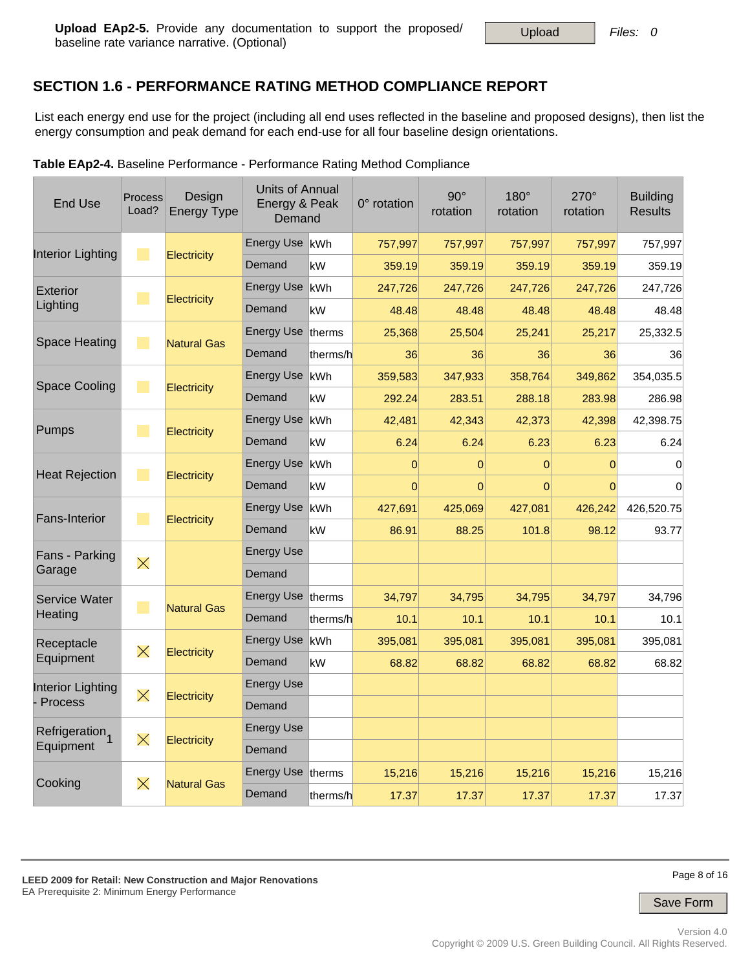# **SECTION 1.6 - PERFORMANCE RATING METHOD COMPLIANCE REPORT**

List each energy end use for the project (including all end uses reflected in the baseline and proposed designs), then list the energy consumption and peak demand for each end-use for all four baseline design orientations.

|                            |                             | <b>T.</b> Basemic Ferrormance |                                            |                | <b>T Chomication Rating Mothod Compliance</b> |                        |                  |                  |                                   |
|----------------------------|-----------------------------|-------------------------------|--------------------------------------------|----------------|-----------------------------------------------|------------------------|------------------|------------------|-----------------------------------|
| <b>End Use</b>             | Process<br>Load?            | Design<br><b>Energy Type</b>  | Units of Annual<br>Energy & Peak<br>Demand |                | $0^\circ$ rotation                            | $90^\circ$<br>rotation | 180°<br>rotation | 270°<br>rotation | <b>Building</b><br><b>Results</b> |
| <b>Interior Lighting</b>   |                             |                               | Energy Use kWh                             |                | 757,997                                       | 757,997                | 757,997          | 757,997          | 757,997                           |
|                            | $\mathbb{R}^n$              | <b>Electricity</b>            | Demand                                     | kW             | 359.19                                        | 359.19                 | 359.19           | 359.19           | 359.19                            |
| <b>Exterior</b>            | $\mathcal{L}_{\mathcal{A}}$ |                               | <b>Energy Use</b>                          | lkWh           | 247,726                                       | 247,726                | 247,726          | 247,726          | 247,726                           |
| Lighting                   |                             | <b>Electricity</b>            | Demand                                     | kW             | 48.48                                         | 48.48                  | 48.48            | 48.48            | 48.48                             |
| <b>Space Heating</b>       | T.                          |                               | <b>Energy Use</b>                          | <b>Itherms</b> | 25,368                                        | 25,504                 | 25,241           | 25,217           | 25,332.5                          |
|                            |                             | <b>Natural Gas</b>            | Demand                                     | therms/h       | 36                                            | 36                     | 36               | 36               | 36                                |
| <b>Space Cooling</b>       | $\mathcal{L}_{\mathcal{A}}$ |                               | <b>Energy Use</b>                          | kWh            | 359,583                                       | 347,933                | 358,764          | 349,862          | 354,035.5                         |
|                            |                             | Electricity                   | Demand                                     | kW             | 292.24                                        | 283.51                 | 288.18           | 283.98           | 286.98                            |
| Pumps                      | $\mathbb{R}^n$              |                               | <b>Energy Use</b>                          | kWh            | 42,481                                        | 42,343                 | 42,373           | 42,398           | 42,398.75                         |
|                            |                             | <b>Electricity</b>            | Demand                                     | kW             | 6.24                                          | 6.24                   | 6.23             | 6.23             | 6.24                              |
| <b>Heat Rejection</b>      |                             |                               | <b>Energy Use</b>                          | kWh            | $\Omega$                                      | 0                      | 0                | $\mathbf 0$      | 0                                 |
|                            | $\mathbb{R}^n$              | <b>Electricity</b>            | Demand                                     | kW             | $\Omega$                                      | $\overline{0}$         | $\overline{0}$   | $\Omega$         | $\mathbf 0$                       |
| Fans-Interior              |                             |                               | <b>Energy Use</b>                          | kWh            | 427,691                                       | 425,069                | 427,081          | 426,242          | 426,520.75                        |
|                            | $\mathcal{L}_{\mathcal{A}}$ | <b>Electricity</b>            | Demand                                     | kW             | 86.91                                         | 88.25                  | 101.8            | 98.12            | 93.77                             |
| Fans - Parking             |                             |                               | <b>Energy Use</b>                          |                |                                               |                        |                  |                  |                                   |
| Garage                     | $\times$                    |                               | Demand                                     |                |                                               |                        |                  |                  |                                   |
| <b>Service Water</b>       |                             |                               | Energy Use therms                          |                | 34,797                                        | 34,795                 | 34,795           | 34,797           | 34,796                            |
| Heating                    | $\mathbb{R}^2$              | <b>Natural Gas</b>            | Demand                                     | therms/h       | 10.1                                          | 10.1                   | 10.1             | 10.1             | 10.1                              |
| Receptacle                 |                             |                               | <b>Energy Use</b>                          | kWh            | 395,081                                       | 395,081                | 395,081          | 395,081          | 395,081                           |
| Equipment                  | $\times$                    | Electricity                   | Demand                                     | kW             | 68.82                                         | 68.82                  | 68.82            | 68.82            | 68.82                             |
| Interior Lighting          |                             |                               | <b>Energy Use</b>                          |                |                                               |                        |                  |                  |                                   |
| Process                    | $\times$                    | Electricity                   | Demand                                     |                |                                               |                        |                  |                  |                                   |
| Refrigeration <sub>1</sub> |                             |                               | <b>Energy Use</b>                          |                |                                               |                        |                  |                  |                                   |
| Equipment                  | $\times$                    | Electricity                   | Demand                                     |                |                                               |                        |                  |                  |                                   |
|                            |                             |                               | Energy Use therms                          |                | 15,216                                        | 15,216                 | 15,216           | 15,216           | 15,216                            |
| Cooking                    | $\times$                    | <b>Natural Gas</b>            | Demand                                     | therms/h       | 17.37                                         | 17.37                  | 17.37            | 17.37            | 17.37                             |

**Table EAp2-4.** Baseline Performance - Performance Rating Method Compliance

Page 8 of 16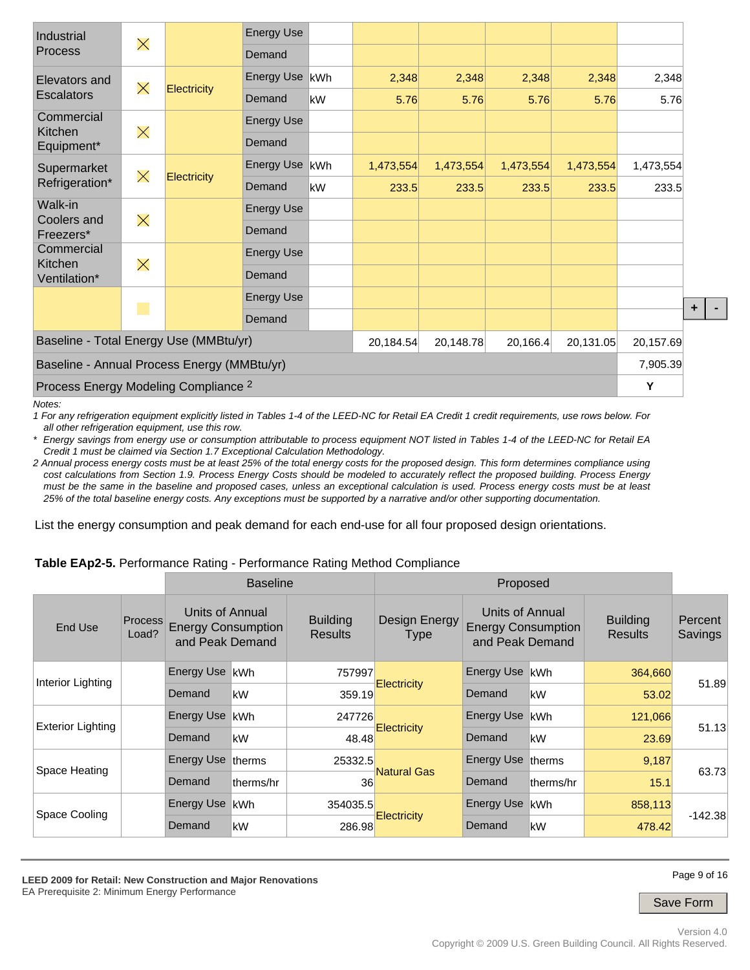| Industrial                                      | $\times$ |             | <b>Energy Use</b> |     |           |           |           |           |           |           |
|-------------------------------------------------|----------|-------------|-------------------|-----|-----------|-----------|-----------|-----------|-----------|-----------|
| Process                                         |          |             | Demand            |     |           |           |           |           |           |           |
| Elevators and<br><b>Escalators</b>              | $\times$ |             | Energy Use        | kWh | 2,348     | 2,348     | 2,348     | 2,348     | 2,348     |           |
|                                                 |          | Electricity | Demand            | kW  | 5.76      | 5.76      | 5.76      | 5.76      | 5.76      |           |
| Commercial<br>Kitchen                           |          |             | <b>Energy Use</b> |     |           |           |           |           |           |           |
| Equipment*                                      | $\times$ |             | Demand            |     |           |           |           |           |           |           |
| Supermarket                                     |          |             | <b>Energy Use</b> | kWh | 1,473,554 | 1,473,554 | 1,473,554 | 1,473,554 | 1,473,554 |           |
| $\times$<br>Refrigeration*                      |          | Electricity | Demand            | kW  | 233.5     | 233.5     | 233.5     | 233.5     | 233.5     |           |
| Walk-in<br>Coolers and                          | $\times$ |             | <b>Energy Use</b> |     |           |           |           |           |           |           |
| Freezers*                                       |          |             | Demand            |     |           |           |           |           |           |           |
| Commercial<br>Kitchen                           |          |             | <b>Energy Use</b> |     |           |           |           |           |           |           |
| Ventilation*                                    | $\times$ |             | Demand            |     |           |           |           |           |           |           |
|                                                 |          |             | <b>Energy Use</b> |     |           |           |           |           |           |           |
|                                                 | ٦        |             | Demand            |     |           |           |           |           |           | $\ddot{}$ |
| Baseline - Total Energy Use (MMBtu/yr)          |          |             |                   |     | 20,184.54 | 20,148.78 | 20,166.4  | 20,131.05 | 20,157.69 |           |
| Baseline - Annual Process Energy (MMBtu/yr)     |          |             |                   |     |           |           |           |           | 7,905.39  |           |
| Process Energy Modeling Compliance <sup>2</sup> |          |             |                   |     |           |           |           | Y         |           |           |

*Notes:* 

*1 For any refrigeration equipment explicitly listed in Tables 1-4 of the LEED-NC for Retail EA Credit 1 credit requirements, use rows below. For all other refrigeration equipment, use this row.* 

*\* Energy savings from energy use or consumption attributable to process equipment NOT listed in Tables 1-4 of the LEED-NC for Retail EA Credit 1 must be claimed via Section 1.7 Exceptional Calculation Methodology.* 

*2 Annual process energy costs must be at least 25% of the total energy costs for the proposed design. This form determines compliance using cost calculations from Section 1.9. Process Energy Costs should be modeled to accurately reflect the proposed building. Process Energy must be the same in the baseline and proposed cases, unless an exceptional calculation is used. Process energy costs must be at least 25% of the total baseline energy costs. Any exceptions must be supported by a narrative and/or other supporting documentation.* 

List the energy consumption and peak demand for each end-use for all four proposed design orientations.

#### **Table EAp2-5.** Performance Rating - Performance Rating Method Compliance

|                          | <b>Baseline</b><br>Proposed |                                                                 |            |                                                                   |                    |                                                                 |                |                                   |                    |
|--------------------------|-----------------------------|-----------------------------------------------------------------|------------|-------------------------------------------------------------------|--------------------|-----------------------------------------------------------------|----------------|-----------------------------------|--------------------|
| End Use                  | <b>Process</b><br>Load?     | Units of Annual<br><b>Energy Consumption</b><br>and Peak Demand |            | <b>Building</b><br>Design Energy<br><b>Results</b><br><b>Type</b> |                    | Units of Annual<br><b>Energy Consumption</b><br>and Peak Demand |                | <b>Building</b><br><b>Results</b> | Percent<br>Savings |
| Interior Lighting        |                             | Energy Use                                                      | lkWh       | 757997                                                            |                    | Energy Use kWh                                                  |                | 364,660                           |                    |
|                          |                             | Demand                                                          | kW         | 359.19                                                            | <b>Electricity</b> | Demand                                                          | kW             | 53.02                             | 51.89              |
| <b>Exterior Lighting</b> |                             | <b>Energy Use</b>                                               | lkWh.      | 247726                                                            |                    | Energy Use                                                      | <b>IkWh</b>    | 121,066                           |                    |
|                          |                             | Demand                                                          | kW         | 48.48                                                             | <b>Electricity</b> | Demand                                                          | kW             | 23.69                             | 51.13              |
|                          |                             | Energy Use therms                                               |            | 25332.5                                                           |                    | Energy Use                                                      | <b>Itherms</b> | 9,187                             |                    |
| Space Heating            |                             | Demand                                                          | ltherms/hr | 36                                                                | <b>Natural Gas</b> | Demand                                                          | ltherms/hr     | 15.1                              | 63.73              |
| Space Cooling            |                             | Energy Use                                                      | lkWh.      | 354035.5                                                          |                    | Energy Use                                                      | lkWh           | 858,113                           |                    |
|                          |                             | Demand                                                          | kW         | 286.98                                                            | <b>Electricity</b> | Demand                                                          | kW             | 478.42                            | $-142.38$          |

Page 9 of 16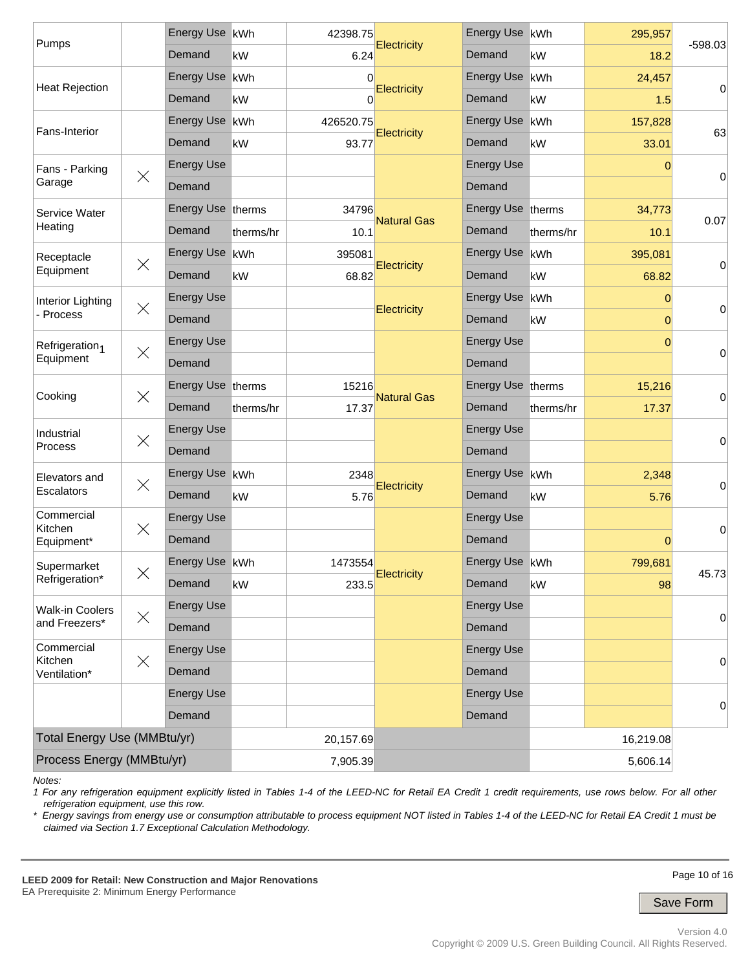| Pumps                       |                   | Energy Use kWh    |           | 42398.75  |                    | Energy Use        | kWh       | 295,957   | $-598.03$ |  |
|-----------------------------|-------------------|-------------------|-----------|-----------|--------------------|-------------------|-----------|-----------|-----------|--|
|                             |                   | Demand            | kW        | 6.24      | <b>Electricity</b> | Demand            | kW        | 18.2      |           |  |
| <b>Heat Rejection</b>       |                   | <b>Energy Use</b> | kWh       | 0         |                    | <b>Energy Use</b> | kWh       | 24,457    |           |  |
|                             |                   | Demand            | kW        | 0         | <b>Electricity</b> | Demand            | kW        | 1.5       | 0         |  |
| Fans-Interior               |                   | <b>Energy Use</b> | kWh       | 426520.75 |                    | <b>Energy Use</b> | kWh       | 157,828   | 63        |  |
|                             |                   | Demand            | kW        | 93.77     | <b>Electricity</b> | Demand            | kW        | 33.01     |           |  |
| Fans - Parking              | $\times$          | <b>Energy Use</b> |           |           |                    | <b>Energy Use</b> |           | 0         | 0         |  |
| Garage                      |                   | Demand            |           |           |                    | Demand            |           |           |           |  |
| Service Water               |                   | Energy Use therms |           | 34796     |                    | Energy Use therms |           | 34,773    |           |  |
| Heating                     |                   | Demand            | therms/hr | 10.1      | <b>Natural Gas</b> | Demand            | therms/hr | 10.1      | 0.07      |  |
| Receptacle                  | $\times$          | Energy Use   kWh  |           | 395081    |                    | <b>Energy Use</b> | kWh       | 395,081   |           |  |
| Equipment                   |                   | Demand            | kW        | 68.82     | <b>Electricity</b> | Demand            | kW        | 68.82     | 0         |  |
| Interior Lighting           | $\times$          | <b>Energy Use</b> |           |           | Electricity        | <b>Energy Use</b> | kWh       | 0         |           |  |
| - Process                   |                   | Demand            |           |           |                    | Demand            | kW        | 0         | 0         |  |
| Refrigeration <sub>1</sub>  |                   | <b>Energy Use</b> |           |           |                    | <b>Energy Use</b> |           | $\Omega$  |           |  |
| Equipment                   | $\times$          | Demand            |           |           |                    | Demand            |           |           | 0         |  |
| $\times$<br>Cooking         | Energy Use therms |                   | 15216     |           | Energy Use therms  |                   | 15,216    |           |           |  |
|                             |                   | Demand            | therms/hr | 17.37     | <b>Natural Gas</b> | Demand            | therms/hr | 17.37     | 0         |  |
| Industrial                  | $\times$          | <b>Energy Use</b> |           |           |                    | <b>Energy Use</b> |           |           |           |  |
| <b>Process</b>              |                   | Demand            |           |           |                    | Demand            |           |           | 0         |  |
| Elevators and               | $\times$          | Energy Use   kWh  |           | 2348      |                    | Energy Use        | kWh       | 2,348     |           |  |
| Escalators                  |                   | Demand            | kW        | 5.76      | Electricity        | Demand            | kW        | 5.76      | 0         |  |
| Commercial<br>Kitchen       | $\times$          | <b>Energy Use</b> |           |           |                    | <b>Energy Use</b> |           |           | 0         |  |
| Equipment*                  |                   | Demand            |           |           |                    | Demand            |           | 0         |           |  |
| Supermarket                 | $\times$          | Energy Use kWh    |           | 1473554   |                    | Energy Use kWh    |           | 799,681   |           |  |
| Refrigeration*              |                   | Demand            | kW        | 233.5     | Electricity        | Demand            | kW        | 98        | 45.73     |  |
| <b>Walk-in Coolers</b>      | $\times$          | <b>Energy Use</b> |           |           |                    | <b>Energy Use</b> |           |           |           |  |
| and Freezers*               |                   | Demand            |           |           |                    | Demand            |           |           | 0         |  |
| Commercial<br>Kitchen       | $\times$          | <b>Energy Use</b> |           |           |                    | <b>Energy Use</b> |           |           |           |  |
| Ventilation*                |                   | Demand            |           |           |                    | Demand            |           |           | 0         |  |
|                             |                   | <b>Energy Use</b> |           |           |                    | <b>Energy Use</b> |           |           |           |  |
|                             |                   | Demand            |           |           |                    | Demand            |           |           | 0         |  |
| Total Energy Use (MMBtu/yr) |                   |                   |           | 20,157.69 |                    |                   |           | 16,219.08 |           |  |
| Process Energy (MMBtu/yr)   |                   | 7,905.39          |           |           |                    |                   |           |           |           |  |

*Notes:* 

*1 For any refrigeration equipment explicitly listed in Tables 1-4 of the LEED-NC for Retail EA Credit 1 credit requirements, use rows below. For all other refrigeration equipment, use this row.* 

*\* Energy savings from energy use or consumption attributable to process equipment NOT listed in Tables 1-4 of the LEED-NC for Retail EA Credit 1 must be claimed via Section 1.7 Exceptional Calculation Methodology.* 

**LEED 2009 for Retail: New Construction and Major Renovations**  EA Prerequisite 2: Minimum Energy Performance

Page 10 of 16

Save Form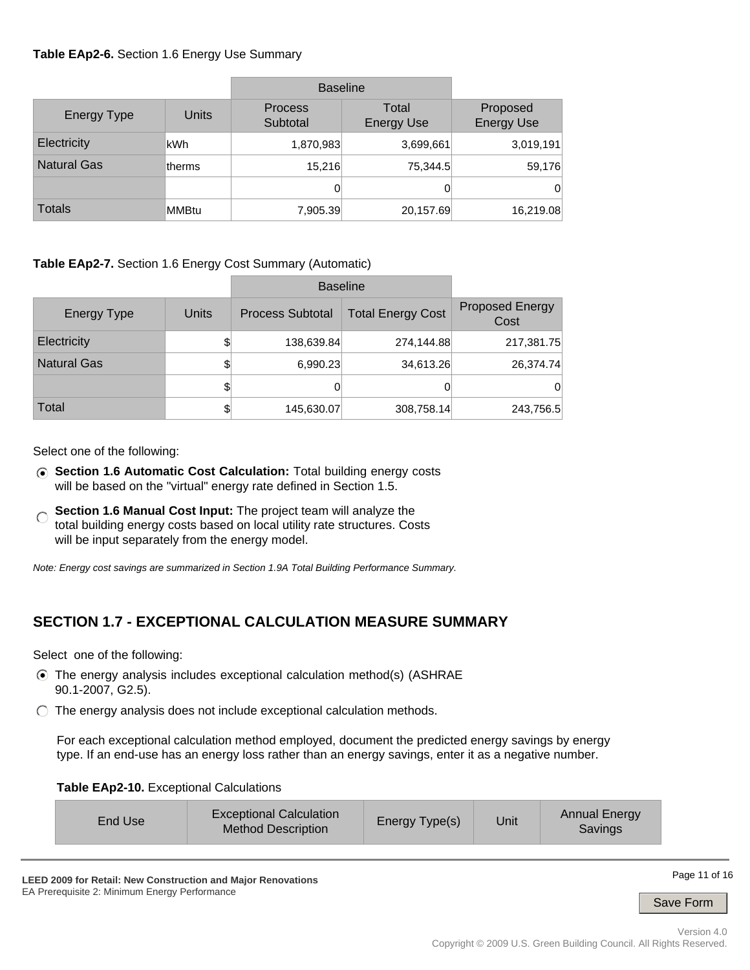### **Table EAp2-6.** Section 1.6 Energy Use Summary

|                    |              | <b>Baseline</b>            |                            |                               |
|--------------------|--------------|----------------------------|----------------------------|-------------------------------|
| <b>Energy Type</b> | <b>Units</b> | <b>Process</b><br>Subtotal | Total<br><b>Energy Use</b> | Proposed<br><b>Energy Use</b> |
| Electricity        | lkWh.        | 1,870,983                  | 3,699,661                  | 3,019,191                     |
| <b>Natural Gas</b> | ltherms      | 15,216                     | 75,344.5                   | 59,176                        |
|                    |              | 0                          | 0                          | 0                             |
| <b>Totals</b>      | MMBtu        | 7,905.39                   | 20,157.69                  | 16,219.08                     |

**Table EAp2-7.** Section 1.6 Energy Cost Summary (Automatic)

|                    |       | <b>Baseline</b>         |                          |                                |
|--------------------|-------|-------------------------|--------------------------|--------------------------------|
| Energy Type        | Units | <b>Process Subtotal</b> | <b>Total Energy Cost</b> | <b>Proposed Energy</b><br>Cost |
| Electricity        | \$    | 138,639.84              | 274,144.88               | 217,381.75                     |
| <b>Natural Gas</b> | \$    | 6,990.23                | 34,613.26                | 26,374.74                      |
|                    | \$    |                         | 0                        | 0                              |
| Total              | \$    | 145,630.07              | 308,758.14               | 243,756.5                      |

Select one of the following:

- **Section 1.6 Automatic Cost Calculation:** Total building energy costs will be based on the "virtual" energy rate defined in Section 1.5.
- **Section 1.6 Manual Cost Input:** The project team will analyze the  $\subset$ total building energy costs based on local utility rate structures. Costs will be input separately from the energy model.

*Note: Energy cost savings are summarized in Section 1.9A Total Building Performance Summary.*

# **SECTION 1.7 - EXCEPTIONAL CALCULATION MEASURE SUMMARY**

Select one of the following:

- The energy analysis includes exceptional calculation method(s) (ASHRAE 90.1-2007, G2.5).
- $\bigcirc$  The energy analysis does not include exceptional calculation methods.

For each exceptional calculation method employed, document the predicted energy savings by energy type. If an end-use has an energy loss rather than an energy savings, enter it as a negative number.

#### **Table EAp2-10.** Exceptional Calculations

| Energy Type(s)<br>Unit<br>End Use<br><b>Method Description</b><br>Savings |
|---------------------------------------------------------------------------|
|---------------------------------------------------------------------------|

Page 11 of 16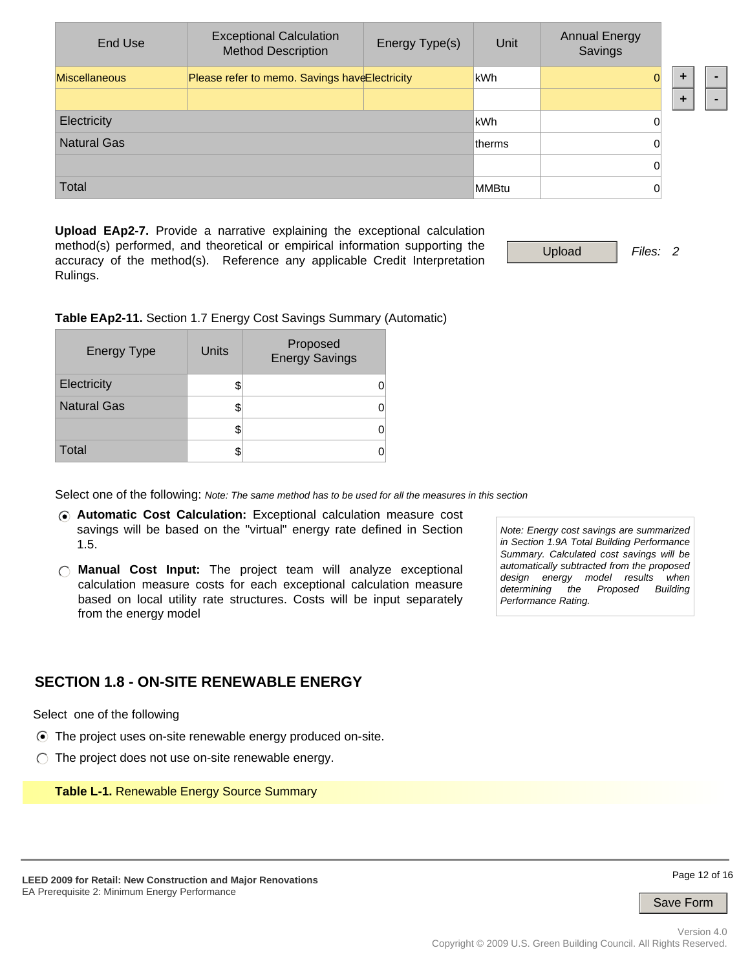| End Use              | <b>Exceptional Calculation</b><br><b>Method Description</b> | Energy Type(s) | Unit           | <b>Annual Energy</b><br>Savings |  |  |
|----------------------|-------------------------------------------------------------|----------------|----------------|---------------------------------|--|--|
| <b>Miscellaneous</b> | Please refer to memo. Savings have Electricity              |                | kWh            | $\Omega$                        |  |  |
|                      |                                                             |                |                |                                 |  |  |
| Electricity          |                                                             |                | lkWh           | 0                               |  |  |
| <b>Natural Gas</b>   |                                                             |                | <b>Itherms</b> | 0                               |  |  |
|                      |                                                             |                |                | 0                               |  |  |
| <b>Total</b>         |                                                             |                | MMBtu          | 0                               |  |  |

**Upload EAp2-7.** Provide a narrative explaining the exceptional calculation method(s) performed, and theoretical or empirical information supporting the accuracy of the method(s). Reference any applicable Credit Interpretation Rulings.

Upload *Files: 2*

**Table EAp2-11.** Section 1.7 Energy Cost Savings Summary (Automatic)

| <b>Energy Type</b> | Units | Proposed<br><b>Energy Savings</b> |
|--------------------|-------|-----------------------------------|
| Electricity        |       |                                   |
| <b>Natural Gas</b> |       |                                   |
|                    |       |                                   |
| Total              |       |                                   |

Select one of the following: *Note: The same method has to be used for all the measures in this section*

- **Automatic Cost Calculation:** Exceptional calculation measure cost savings will be based on the "virtual" energy rate defined in Section 1.5.
- **Manual Cost Input:** The project team will analyze exceptional calculation measure costs for each exceptional calculation measure based on local utility rate structures. Costs will be input separately from the energy model

*Note: Energy cost savings are summarized in Section 1.9A Total Building Performance Summary. Calculated cost savings will be automatically subtracted from the proposed design energy model results when the Proposed Building Performance Rating.*

### **SECTION 1.8 - ON-SITE RENEWABLE ENERGY**

Select one of the following

- The project uses on-site renewable energy produced on-site.
- $\bigcirc$  The project does not use on-site renewable energy.

**Table L-1.** Renewable Energy Source Summary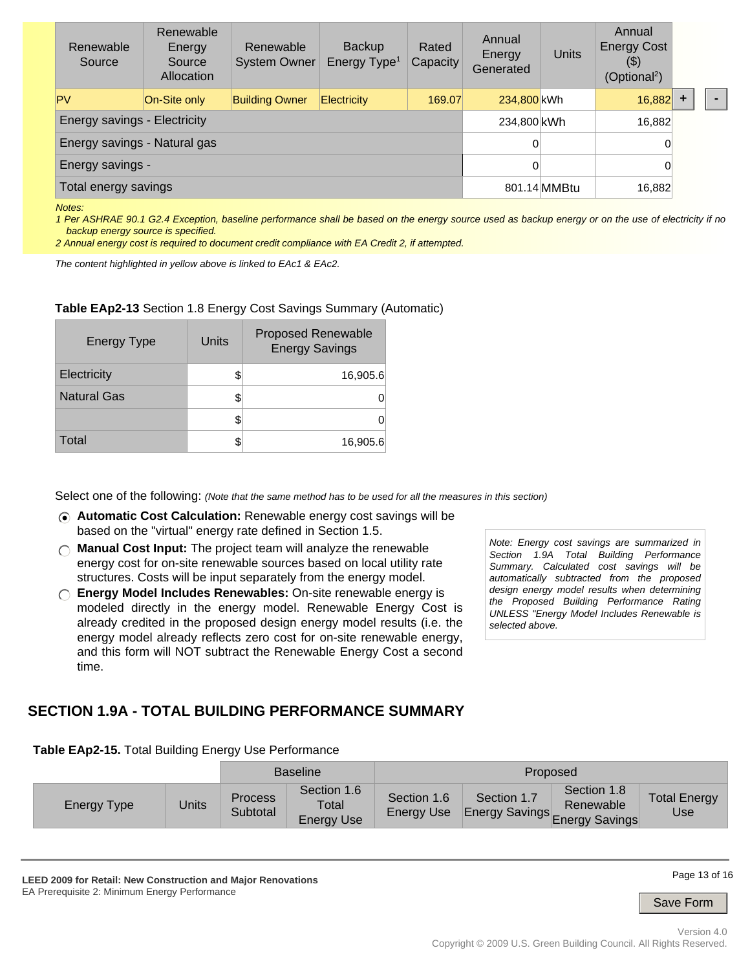| Renewable<br>Source                 | Renewable<br>Energy<br>Source<br>Allocation | Renewable<br><b>System Owner</b> | <b>Backup</b><br>Energy Type <sup>1</sup> | Rated<br>Capacity | Annual<br>Energy<br>Generated | Units | Annual<br><b>Energy Cost</b><br>$(\$)$<br>(Optional <sup>2</sup> ) |  |  |
|-------------------------------------|---------------------------------------------|----------------------------------|-------------------------------------------|-------------------|-------------------------------|-------|--------------------------------------------------------------------|--|--|
| <b>PV</b>                           | On-Site only                                | <b>Building Owner</b>            | Electricity                               | 169.07            | 234,800 kWh                   |       | 16,882                                                             |  |  |
| <b>Energy savings - Electricity</b> | 234,800 kWh                                 |                                  | 16,882                                    |                   |                               |       |                                                                    |  |  |
| Energy savings - Natural gas        | 0                                           |                                  | 0                                         |                   |                               |       |                                                                    |  |  |
| Energy savings -                    |                                             |                                  |                                           |                   | 0                             |       |                                                                    |  |  |
| Total energy savings                |                                             | 801.14 MMBtu                     | 16,882                                    |                   |                               |       |                                                                    |  |  |

*Notes:* 

*1 Per ASHRAE 90.1 G2.4 Exception, baseline performance shall be based on the energy source used as backup energy or on the use of electricity if no backup energy source is specified.* 

*2 Annual energy cost is required to document credit compliance with EA Credit 2, if attempted.*

*The content highlighted in yellow above is linked to EAc1 & EAc2.*

#### **Table EAp2-13** Section 1.8 Energy Cost Savings Summary (Automatic)

| Energy Type        | Units | <b>Proposed Renewable</b><br><b>Energy Savings</b> |
|--------------------|-------|----------------------------------------------------|
| Electricity        |       | 16,905.6                                           |
| <b>Natural Gas</b> |       |                                                    |
|                    |       |                                                    |
| Total              |       | 16,905.6                                           |

Select one of the following: *(Note that the same method has to be used for all the measures in this section)*

- **Automatic Cost Calculation:** Renewable energy cost savings will be based on the "virtual" energy rate defined in Section 1.5.
- **Manual Cost Input:** The project team will analyze the renewable energy cost for on-site renewable sources based on local utility rate structures. Costs will be input separately from the energy model.
- **Energy Model Includes Renewables:** On-site renewable energy is modeled directly in the energy model. Renewable Energy Cost is already credited in the proposed design energy model results (i.e. the energy model already reflects zero cost for on-site renewable energy, and this form will NOT subtract the Renewable Energy Cost a second time.

*Note: Energy cost savings are summarized in Section 1.9A Total Building Performance Summary. Calculated cost savings will be automatically subtracted from the proposed design energy model results when determining the Proposed Building Performance Rating UNLESS "Energy Model Includes Renewable is selected above.*

### **SECTION 1.9A - TOTAL BUILDING PERFORMANCE SUMMARY**

| Table EAp2-15. Total Building Energy Use Performance |
|------------------------------------------------------|
|------------------------------------------------------|

|                    |       | <b>Baseline</b>            | Proposed                                  |                                  |             |                                                                |                            |
|--------------------|-------|----------------------------|-------------------------------------------|----------------------------------|-------------|----------------------------------------------------------------|----------------------------|
| <b>Energy Type</b> | Units | <b>Process</b><br>Subtotal | Section 1.6<br>Total<br><b>Energy Use</b> | Section 1.6<br><b>Energy Use</b> | Section 1.7 | Section 1.8<br>Renewable<br>Luse Energy Savings Energy Savings | <b>Total Energy</b><br>Use |

**LEED 2009 for Retail: New Construction and Major Renovations**  EA Prerequisite 2: Minimum Energy Performance

Page 13 of 16

Save Form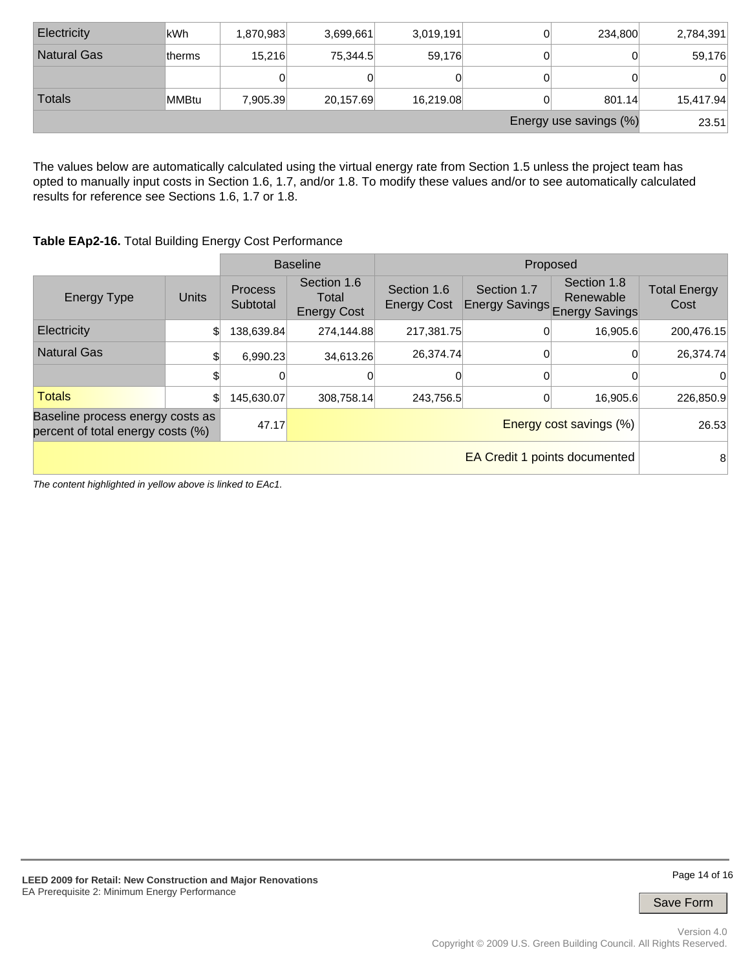| Energy use savings (%) |              |           |           |           |  |         |           |  |  |
|------------------------|--------------|-----------|-----------|-----------|--|---------|-----------|--|--|
| <b>Totals</b>          | <b>MMBtu</b> | 7.905.39  | 20,157.69 | 16,219.08 |  | 801.14  | 15,417.94 |  |  |
|                        |              |           |           | JΙ        |  |         |           |  |  |
| <b>Natural Gas</b>     | ltherms      | 15.216    | 75.344.5  | 59.176    |  |         | 59,176    |  |  |
| Electricity            | lkWh         | 1,870,983 | 3,699,661 | 3,019,191 |  | 234,800 | 2,784,391 |  |  |

The values below are automatically calculated using the virtual energy rate from Section 1.5 unless the project team has opted to manually input costs in Section 1.6, 1.7, and/or 1.8. To modify these values and/or to see automatically calculated results for reference see Sections 1.6, 1.7 or 1.8.

### **Table EAp2-16.** Total Building Energy Cost Performance

|                                                                       |              |                                | <b>Baseline</b>                            | Proposed                          |             |                                                           |                             |
|-----------------------------------------------------------------------|--------------|--------------------------------|--------------------------------------------|-----------------------------------|-------------|-----------------------------------------------------------|-----------------------------|
| <b>Energy Type</b>                                                    | <b>Units</b> | <b>Process</b><br>Subtotal     | Section 1.6<br>Total<br><b>Energy Cost</b> | Section 1.6<br><b>Energy Cost</b> | Section 1.7 | Section 1.8<br>Renewable<br>Energy Savings Energy Savings | <b>Total Energy</b><br>Cost |
| <b>Electricity</b>                                                    |              | 138,639.84                     | 274,144.88                                 | 217,381.75                        |             | 16,905.6                                                  | 200,476.15                  |
| <b>Natural Gas</b>                                                    |              | 6.990.23                       | 34,613.26                                  | 26,374.74                         |             |                                                           | 26,374.74                   |
|                                                                       |              |                                | 0                                          |                                   |             |                                                           | 0                           |
| <b>Totals</b>                                                         |              | 145,630.07                     | 308,758.14                                 | 243,756.5                         |             | 16,905.6                                                  | 226,850.9                   |
| Baseline process energy costs as<br>percent of total energy costs (%) | 47.17        | <b>Energy cost savings (%)</b> |                                            |                                   |             | 26.53                                                     |                             |
| <b>EA Credit 1 points documented</b>                                  |              |                                |                                            |                                   |             | 8                                                         |                             |

*The content highlighted in yellow above is linked to EAc1.*

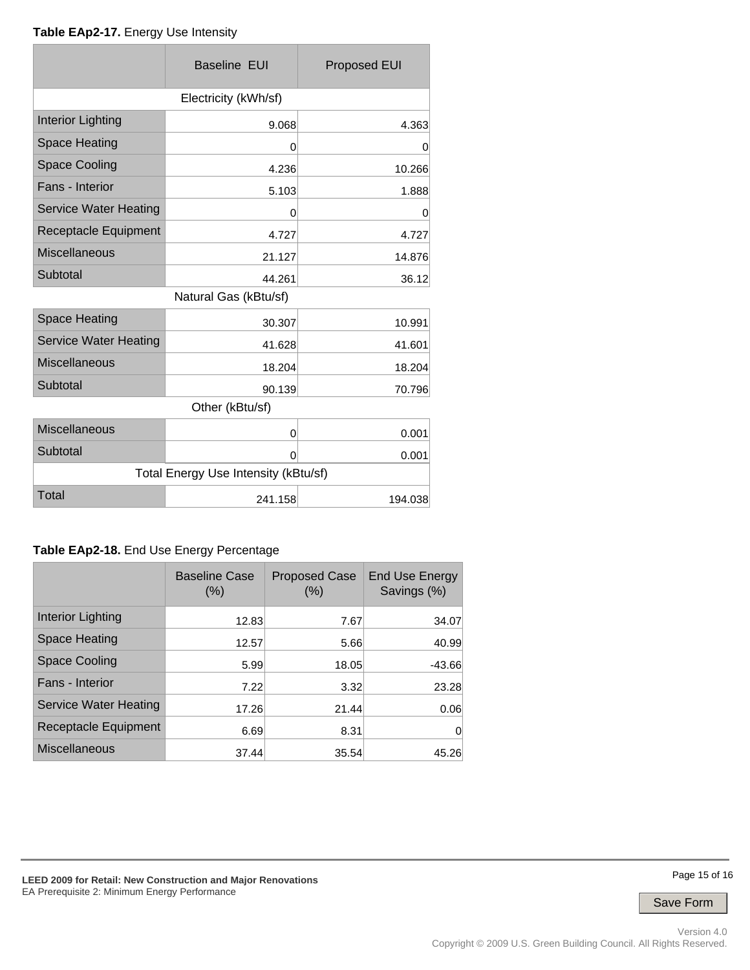#### **Table EAp2-17.** Energy Use Intensity

|                                      | <b>Baseline EUI</b>   | <b>Proposed EUI</b> |  |  |  |  |
|--------------------------------------|-----------------------|---------------------|--|--|--|--|
| Electricity (kWh/sf)                 |                       |                     |  |  |  |  |
| <b>Interior Lighting</b>             | 9.068                 | 4.363               |  |  |  |  |
| <b>Space Heating</b>                 | 0                     | 0                   |  |  |  |  |
| <b>Space Cooling</b>                 | 4.236                 | 10.266              |  |  |  |  |
| Fans - Interior                      | 5.103                 | 1.888               |  |  |  |  |
| <b>Service Water Heating</b>         | 0                     | 0                   |  |  |  |  |
| Receptacle Equipment                 | 4.727                 | 4.727               |  |  |  |  |
| <b>Miscellaneous</b>                 | 21.127                | 14.876              |  |  |  |  |
| Subtotal                             | 44.261                | 36.12               |  |  |  |  |
|                                      | Natural Gas (kBtu/sf) |                     |  |  |  |  |
| <b>Space Heating</b>                 | 30.307                | 10.991              |  |  |  |  |
| <b>Service Water Heating</b>         | 41.628                | 41.601              |  |  |  |  |
| <b>Miscellaneous</b>                 | 18.204                | 18.204              |  |  |  |  |
| Subtotal                             | 90.139                | 70.796              |  |  |  |  |
| Other (kBtu/sf)                      |                       |                     |  |  |  |  |
| <b>Miscellaneous</b>                 | 0                     | 0.001               |  |  |  |  |
| Subtotal                             | 0                     | 0.001               |  |  |  |  |
| Total Energy Use Intensity (kBtu/sf) |                       |                     |  |  |  |  |
| Total                                | 241.158               | 194.038             |  |  |  |  |

### **Table EAp2-18.** End Use Energy Percentage

|                              | <b>Baseline Case</b><br>(%) | <b>Proposed Case</b><br>(% ) | <b>End Use Energy</b><br>Savings (%) |
|------------------------------|-----------------------------|------------------------------|--------------------------------------|
| Interior Lighting            | 12.83                       | 7.67                         | 34.07                                |
| Space Heating                | 12.57                       | 5.66                         | 40.99                                |
| <b>Space Cooling</b>         | 5.99                        | 18.05                        | $-43.66$                             |
| Fans - Interior              | 7.22                        | 3.32                         | 23.28                                |
| <b>Service Water Heating</b> | 17.26                       | 21.44                        | 0.06                                 |
| Receptacle Equipment         | 6.69                        | 8.31                         | 0                                    |
| <b>Miscellaneous</b>         | 37.44                       | 35.54                        | 45.26                                |